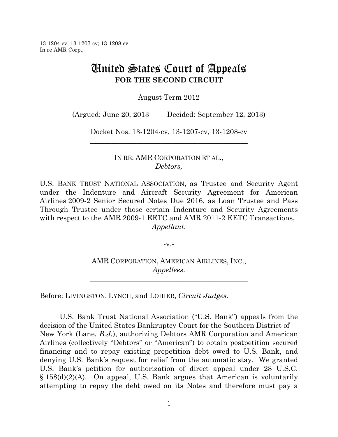# United States Court of Appeals **FOR THE SECOND CIRCUIT**

August Term 2012

(Argued: June 20, 2013 Decided: September 12, 2013)

Docket Nos. 13-1204-cv, 13-1207-cv, 13-1208-cv \_\_\_\_\_\_\_\_\_\_\_\_\_\_\_\_\_\_\_\_\_\_\_\_\_\_\_\_\_\_\_\_\_\_\_\_\_\_\_\_\_\_\_\_

> IN RE: AMR CORPORATION ET AL., *Debtors,*

U.S. BANK TRUST NATIONAL ASSOCIATION, as Trustee and Security Agent under the Indenture and Aircraft Security Agreement for American Airlines 2009-2 Senior Secured Notes Due 2016, as Loan Trustee and Pass Through Trustee under those certain Indenture and Security Agreements with respect to the AMR 2009-1 EETC and AMR 2011-2 EETC Transactions, *Appellant*,

-v.-

AMR CORPORATION, AMERICAN AIRLINES, INC., *Appellees*.

\_\_\_\_\_\_\_\_\_\_\_\_\_\_\_\_\_\_\_\_\_\_\_\_\_\_\_\_\_\_\_\_\_\_\_\_\_\_\_\_\_\_\_\_

Before: LIVINGSTON, LYNCH, and LOHIER, *Circuit Judges*.

U.S. Bank Trust National Association ("U.S. Bank") appeals from the decision of the United States Bankruptcy Court for the Southern District of New York (Lane, *B.J.*), authorizing Debtors AMR Corporation and American Airlines (collectively "Debtors" or "American") to obtain postpetition secured financing and to repay existing prepetition debt owed to U.S. Bank, and denying U.S. Bank's request for relief from the automatic stay. We granted U.S. Bank's petition for authorization of direct appeal under 28 U.S.C. § 158(d)(2)(A). On appeal, U.S. Bank argues that American is voluntarily attempting to repay the debt owed on its Notes and therefore must pay a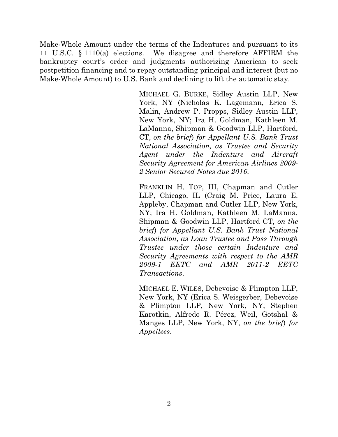Make-Whole Amount under the terms of the Indentures and pursuant to its 11 U.S.C. § 1110(a) elections. We disagree and therefore AFFIRM the bankruptcy court's order and judgments authorizing American to seek postpetition financing and to repay outstanding principal and interest (but no Make-Whole Amount) to U.S. Bank and declining to lift the automatic stay.

> MICHAEL G. BURKE, Sidley Austin LLP, New York, NY (Nicholas K. Lagemann, Erica S. Malin, Andrew P. Propps, Sidley Austin LLP, New York, NY; Ira H. Goldman, Kathleen M. LaManna, Shipman & Goodwin LLP, Hartford, CT, *on the brief*) *for Appellant U.S. Bank Trust National Association, as Trustee and Security Agent under the Indenture and Aircraft Security Agreement for American Airlines 2009- 2 Senior Secured Notes due 2016*.

> FRANKLIN H. TOP, III, Chapman and Cutler LLP, Chicago, IL (Craig M. Price, Laura E. Appleby, Chapman and Cutler LLP, New York, NY; Ira H. Goldman, Kathleen M. LaManna, Shipman & Goodwin LLP, Hartford CT, *on the brief*) *for Appellant U.S. Bank Trust National Association, as Loan Trustee and Pass Through Trustee under those certain Indenture and Security Agreements with respect to the AMR 2009-1 EETC and AMR 2011-2 EETC Transactions*.

> MICHAEL E. WILES, Debevoise & Plimpton LLP, New York, NY (Erica S. Weisgerber, Debevoise & Plimpton LLP, New York, NY; Stephen Karotkin, Alfredo R. Pérez, Weil, Gotshal & Manges LLP, New York, NY, *on the brief*) *for Appellees*.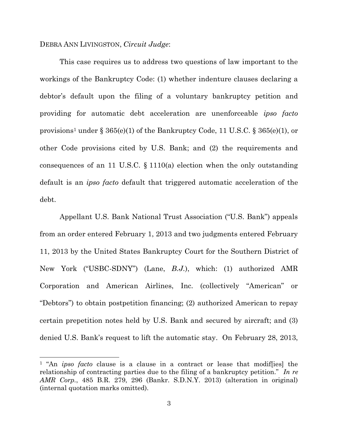# DEBRA ANN LIVINGSTON, *Circuit Judge*:

 $\overline{a}$ 

This case requires us to address two questions of law important to the workings of the Bankruptcy Code: (1) whether indenture clauses declaring a debtor's default upon the filing of a voluntary bankruptcy petition and providing for automatic debt acceleration are unenforceable *ipso facto* provisions<sup>1</sup> under  $\S 365(e)(1)$  of the Bankruptcy Code, 11 U.S.C.  $\S 365(e)(1)$ , or other Code provisions cited by U.S. Bank; and (2) the requirements and consequences of an 11 U.S.C. § 1110(a) election when the only outstanding default is an *ipso facto* default that triggered automatic acceleration of the debt.

Appellant U.S. Bank National Trust Association ("U.S. Bank") appeals from an order entered February 1, 2013 and two judgments entered February 11, 2013 by the United States Bankruptcy Court for the Southern District of New York ("USBC-SDNY") (Lane, *B.J.*), which: (1) authorized AMR Corporation and American Airlines, Inc. (collectively "American" or "Debtors") to obtain postpetition financing; (2) authorized American to repay certain prepetition notes held by U.S. Bank and secured by aircraft; and (3) denied U.S. Bank's request to lift the automatic stay. On February 28, 2013,

<sup>1</sup> "An *ipso facto* clause is a clause in a contract or lease that modif[ies] the relationship of contracting parties due to the filing of a bankruptcy petition." *In re AMR Corp.*, 485 B.R. 279, 296 (Bankr. S.D.N.Y. 2013) (alteration in original) (internal quotation marks omitted).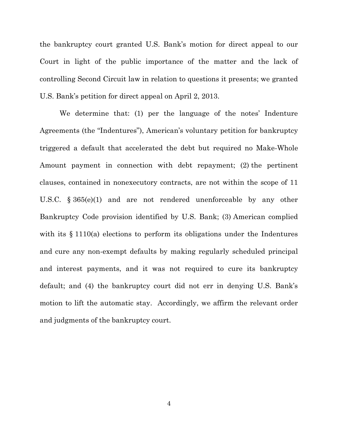the bankruptcy court granted U.S. Bank's motion for direct appeal to our Court in light of the public importance of the matter and the lack of controlling Second Circuit law in relation to questions it presents; we granted U.S. Bank's petition for direct appeal on April 2, 2013.

We determine that: (1) per the language of the notes' Indenture Agreements (the "Indentures"), American's voluntary petition for bankruptcy triggered a default that accelerated the debt but required no Make-Whole Amount payment in connection with debt repayment; (2) the pertinent clauses, contained in nonexecutory contracts, are not within the scope of 11 U.S.C. § 365(e)(1) and are not rendered unenforceable by any other Bankruptcy Code provision identified by U.S. Bank; (3) American complied with its  $\S 1110(a)$  elections to perform its obligations under the Indentures and cure any non-exempt defaults by making regularly scheduled principal and interest payments, and it was not required to cure its bankruptcy default; and (4) the bankruptcy court did not err in denying U.S. Bank's motion to lift the automatic stay. Accordingly, we affirm the relevant order and judgments of the bankruptcy court.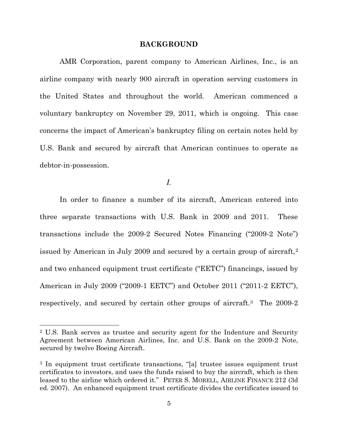#### **BACKGROUND**

AMR Corporation, parent company to American Airlines, Inc., is an airline company with nearly 900 aircraft in operation serving customers in the United States and throughout the world. American commenced a voluntary bankruptcy on November 29, 2011, which is ongoing. This case concerns the impact of American's bankruptcy filing on certain notes held by U.S. Bank and secured by aircraft that American continues to operate as debtor-in-possession.

*I.* 

In order to finance a number of its aircraft, American entered into three separate transactions with U.S. Bank in 2009 and 2011. These transactions include the 2009-2 Secured Notes Financing ("2009-2 Note") issued by American in July 2009 and secured by a certain group of aircraft,<sup>2</sup> and two enhanced equipment trust certificate ("EETC") financings, issued by American in July 2009 ("2009-1 EETC") and October 2011 ("2011-2 EETC"), respectively, and secured by certain other groups of aircraft.<sup>3</sup> The 2009-2

 $\overline{a}$ 

<sup>2</sup> U.S. Bank serves as trustee and security agent for the Indenture and Security Agreement between American Airlines, Inc. and U.S. Bank on the 2009-2 Note, secured by twelve Boeing Aircraft.

<sup>3</sup> In equipment trust certificate transactions, "[a] trustee issues equipment trust certificates to investors, and uses the funds raised to buy the aircraft, which is then leased to the airline which ordered it." PETER S. MORELL, AIRLINE FINANCE 212 (3d ed. 2007). An enhanced equipment trust certificate divides the certificates issued to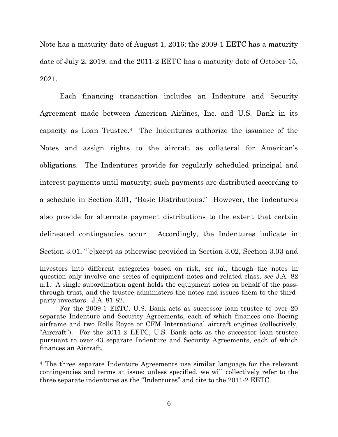Note has a maturity date of August 1, 2016; the 2009-1 EETC has a maturity date of July 2, 2019; and the 2011-2 EETC has a maturity date of October 15, 2021.

Each financing transaction includes an Indenture and Security Agreement made between American Airlines, Inc. and U.S. Bank in its capacity as Loan Trustee.4 The Indentures authorize the issuance of the Notes and assign rights to the aircraft as collateral for American's obligations. The Indentures provide for regularly scheduled principal and interest payments until maturity; such payments are distributed according to a schedule in Section 3.01, "Basic Distributions." However, the Indentures also provide for alternate payment distributions to the extent that certain delineated contingencies occur. Accordingly, the Indentures indicate in Section 3.01, "[e]xcept as otherwise provided in Section 3.02, Section 3.03 and

l

investors into different categories based on risk, *see id.*, though the notes in question only involve one series of equipment notes and related class, *see* J.A. 82 n.1. A single subordination agent holds the equipment notes on behalf of the passthrough trust, and the trustee administers the notes and issues them to the thirdparty investors. J.A. 81-82.

For the 2009-1 EETC, U.S. Bank acts as successor loan trustee to over 20 separate Indenture and Security Agreements, each of which finances one Boeing airframe and two Rolls Royce or CFM International aircraft engines (collectively, "Aircraft"). For the 2011-2 EETC, U.S. Bank acts as the successor loan trustee pursuant to over 43 separate Indenture and Security Agreements, each of which finances an Aircraft.

<sup>4</sup> The three separate Indenture Agreements use similar language for the relevant contingencies and terms at issue; unless specified, we will collectively refer to the three separate indentures as the "Indentures" and cite to the 2011-2 EETC.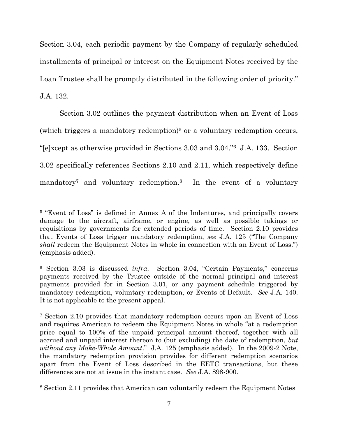Section 3.04, each periodic payment by the Company of regularly scheduled installments of principal or interest on the Equipment Notes received by the Loan Trustee shall be promptly distributed in the following order of priority." J.A. 132.

Section 3.02 outlines the payment distribution when an Event of Loss (which triggers a mandatory redemption)<sup>5</sup> or a voluntary redemption occurs, "[e]xcept as otherwise provided in Sections 3.03 and 3.04."<sup>6</sup> J.A. 133. Section 3.02 specifically references Sections 2.10 and 2.11, which respectively define mandatory<sup>7</sup> and voluntary redemption.<sup>8</sup> In the event of a voluntary

<sup>5</sup> "Event of Loss" is defined in Annex A of the Indentures, and principally covers damage to the aircraft, airframe, or engine, as well as possible takings or requisitions by governments for extended periods of time. Section 2.10 provides that Events of Loss trigger mandatory redemption, *see* J.A. 125 ("The Company *shall* redeem the Equipment Notes in whole in connection with an Event of Loss.") (emphasis added).

<sup>6</sup> Section 3.03 is discussed *infra*. Section 3.04, "Certain Payments," concerns payments received by the Trustee outside of the normal principal and interest payments provided for in Section 3.01, or any payment schedule triggered by mandatory redemption, voluntary redemption, or Events of Default. *See* J.A. 140. It is not applicable to the present appeal.

<sup>7</sup> Section 2.10 provides that mandatory redemption occurs upon an Event of Loss and requires American to redeem the Equipment Notes in whole "at a redemption price equal to 100% of the unpaid principal amount thereof, together with all accrued and unpaid interest thereon to (but excluding) the date of redemption, *but without any Make-Whole Amount*." J.A. 125 (emphasis added). In the 2009-2 Note, the mandatory redemption provision provides for different redemption scenarios apart from the Event of Loss described in the EETC transactions, but these differences are not at issue in the instant case. *See* J.A. 898-900.

<sup>8</sup> Section 2.11 provides that American can voluntarily redeem the Equipment Notes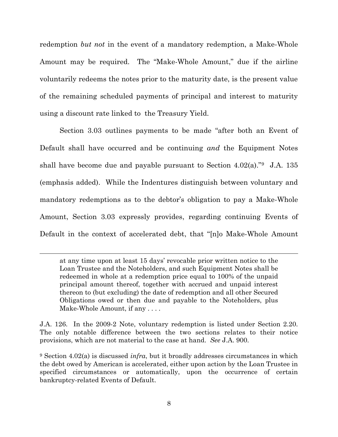redemption *but not* in the event of a mandatory redemption, a Make-Whole Amount may be required. The "Make-Whole Amount," due if the airline voluntarily redeems the notes prior to the maturity date, is the present value of the remaining scheduled payments of principal and interest to maturity using a discount rate linked to the Treasury Yield.

Section 3.03 outlines payments to be made "after both an Event of Default shall have occurred and be continuing *and* the Equipment Notes shall have become due and payable pursuant to Section  $4.02(a)$ ."<sup>9</sup> J.A. 135 (emphasis added). While the Indentures distinguish between voluntary and mandatory redemptions as to the debtor's obligation to pay a Make-Whole Amount, Section 3.03 expressly provides, regarding continuing Events of Default in the context of accelerated debt, that "[n]o Make-Whole Amount

at any time upon at least 15 days' revocable prior written notice to the Loan Trustee and the Noteholders, and such Equipment Notes shall be redeemed in whole at a redemption price equal to 100% of the unpaid principal amount thereof, together with accrued and unpaid interest thereon to (but excluding) the date of redemption and all other Secured Obligations owed or then due and payable to the Noteholders, plus Make-Whole Amount, if any . . . .

 $\overline{\phantom{a}}$ 

J.A. 126. In the 2009-2 Note, voluntary redemption is listed under Section 2.20. The only notable difference between the two sections relates to their notice provisions, which are not material to the case at hand. *See* J.A. 900.

<sup>9</sup> Section 4.02(a) is discussed *infra*, but it broadly addresses circumstances in which the debt owed by American is accelerated, either upon action by the Loan Trustee in specified circumstances or automatically, upon the occurrence of certain bankruptcy-related Events of Default.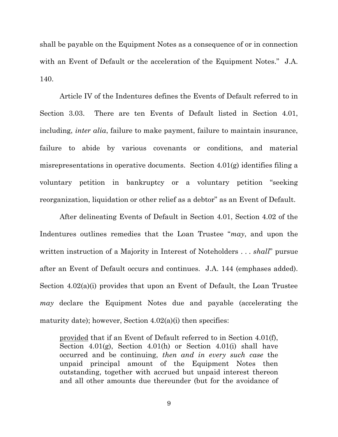shall be payable on the Equipment Notes as a consequence of or in connection with an Event of Default or the acceleration of the Equipment Notes." J.A. 140.

Article IV of the Indentures defines the Events of Default referred to in Section 3.03. There are ten Events of Default listed in Section 4.01, including, *inter alia*, failure to make payment, failure to maintain insurance, failure to abide by various covenants or conditions, and material misrepresentations in operative documents. Section 4.01(g) identifies filing a voluntary petition in bankruptcy or a voluntary petition "seeking reorganization, liquidation or other relief as a debtor" as an Event of Default.

After delineating Events of Default in Section 4.01, Section 4.02 of the Indentures outlines remedies that the Loan Trustee "*may*, and upon the written instruction of a Majority in Interest of Noteholders . . . *shall*" pursue after an Event of Default occurs and continues. J.A. 144 (emphases added). Section 4.02(a)(i) provides that upon an Event of Default, the Loan Trustee *may* declare the Equipment Notes due and payable (accelerating the maturity date); however, Section  $4.02(a)(i)$  then specifies:

provided that if an Event of Default referred to in Section 4.01(f), Section 4.01(g), Section 4.01(h) or Section 4.01(i) shall have occurred and be continuing, *then and in every such case* the unpaid principal amount of the Equipment Notes then outstanding, together with accrued but unpaid interest thereon and all other amounts due thereunder (but for the avoidance of

9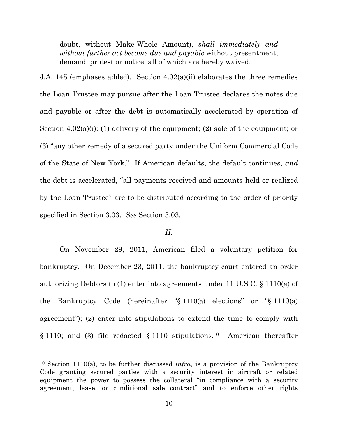doubt, without Make-Whole Amount), *shall immediately and without further act become due and payable* without presentment, demand, protest or notice, all of which are hereby waived.

J.A. 145 (emphases added). Section 4.02(a)(ii) elaborates the three remedies the Loan Trustee may pursue after the Loan Trustee declares the notes due and payable or after the debt is automatically accelerated by operation of Section 4.02(a)(i): (1) delivery of the equipment; (2) sale of the equipment; or (3) "any other remedy of a secured party under the Uniform Commercial Code of the State of New York." If American defaults, the default continues, and the debt is accelerated, "all payments received and amounts held or realized by the Loan Trustee" are to be distributed according to the order of priority specified in Section 3.03. *See* Section 3.03.

# *II.*

On November 29, 2011, American filed a voluntary petition for bankruptcy. On December 23, 2011, the bankruptcy court entered an order authorizing Debtors to (1) enter into agreements under 11 U.S.C. § 1110(a) of the Bankruptcy Code (hereinafter "§ 1110(a) elections" or "§ 1110(a) agreement"); (2) enter into stipulations to extend the time to comply with § 1110; and (3) file redacted § 1110 stipulations.<sup>10</sup> American thereafter

 $\overline{a}$ 

<sup>10</sup> Section 1110(a), to be further discussed *infra*, is a provision of the Bankruptcy Code granting secured parties with a security interest in aircraft or related equipment the power to possess the collateral "in compliance with a security agreement, lease, or conditional sale contract" and to enforce other rights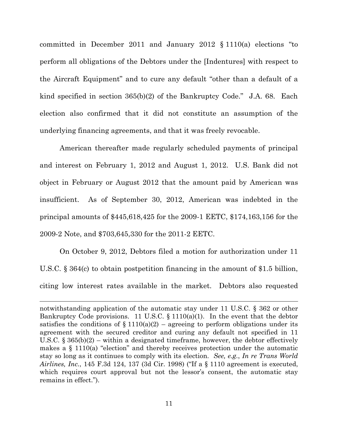committed in December 2011 and January 2012 § 1110(a) elections "to perform all obligations of the Debtors under the [Indentures] with respect to the Aircraft Equipment" and to cure any default "other than a default of a kind specified in section 365(b)(2) of the Bankruptcy Code." J.A. 68. Each election also confirmed that it did not constitute an assumption of the underlying financing agreements, and that it was freely revocable.

American thereafter made regularly scheduled payments of principal and interest on February 1, 2012 and August 1, 2012. U.S. Bank did not object in February or August 2012 that the amount paid by American was insufficient. As of September 30, 2012, American was indebted in the principal amounts of \$445,618,425 for the 2009-1 EETC, \$174,163,156 for the 2009-2 Note, and \$703,645,330 for the 2011-2 EETC.

On October 9, 2012, Debtors filed a motion for authorization under 11 U.S.C. § 364(c) to obtain postpetition financing in the amount of \$1.5 billion, citing low interest rates available in the market. Debtors also requested

notwithstanding application of the automatic stay under 11 U.S.C. § 362 or other Bankruptcy Code provisions. 11 U.S.C.  $\S$  1110(a)(1). In the event that the debtor satisfies the conditions of  $\S 1110(a)(2)$  – agreeing to perform obligations under its agreement with the secured creditor and curing any default not specified in 11 U.S.C.  $\S 365(b)(2)$  – within a designated timeframe, however, the debtor effectively makes a § 1110(a) "election" and thereby receives protection under the automatic stay so long as it continues to comply with its election. *See, e.g.*, *In re Trans World Airlines, Inc.*, 145 F.3d 124, 137 (3d Cir. 1998) ("If a § 1110 agreement is executed, which requires court approval but not the lessor's consent, the automatic stay remains in effect.").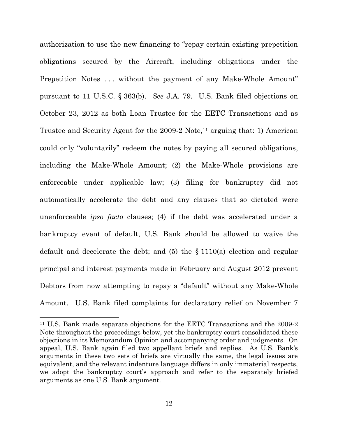authorization to use the new financing to "repay certain existing prepetition obligations secured by the Aircraft, including obligations under the Prepetition Notes ... without the payment of any Make-Whole Amount" pursuant to 11 U.S.C. § 363(b). *See* J.A. 79. U.S. Bank filed objections on October 23, 2012 as both Loan Trustee for the EETC Transactions and as Trustee and Security Agent for the 2009-2 Note,<sup>11</sup> arguing that: 1) American could only "voluntarily" redeem the notes by paying all secured obligations, including the Make-Whole Amount; (2) the Make-Whole provisions are enforceable under applicable law; (3) filing for bankruptcy did not automatically accelerate the debt and any clauses that so dictated were unenforceable *ipso facto* clauses; (4) if the debt was accelerated under a bankruptcy event of default, U.S. Bank should be allowed to waive the default and decelerate the debt; and  $(5)$  the  $\S$  1110(a) election and regular principal and interest payments made in February and August 2012 prevent Debtors from now attempting to repay a "default" without any Make-Whole Amount. U.S. Bank filed complaints for declaratory relief on November 7

<sup>11</sup> U.S. Bank made separate objections for the EETC Transactions and the 2009-2 Note throughout the proceedings below, yet the bankruptcy court consolidated these objections in its Memorandum Opinion and accompanying order and judgments. On appeal, U.S. Bank again filed two appellant briefs and replies. As U.S. Bank's arguments in these two sets of briefs are virtually the same, the legal issues are equivalent, and the relevant indenture language differs in only immaterial respects, we adopt the bankruptcy court's approach and refer to the separately briefed arguments as one U.S. Bank argument.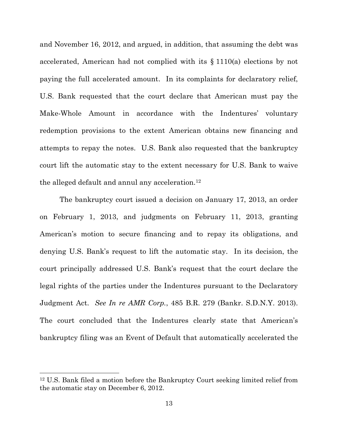and November 16, 2012, and argued, in addition, that assuming the debt was accelerated, American had not complied with its § 1110(a) elections by not paying the full accelerated amount. In its complaints for declaratory relief, U.S. Bank requested that the court declare that American must pay the Make-Whole Amount in accordance with the Indentures' voluntary redemption provisions to the extent American obtains new financing and attempts to repay the notes. U.S. Bank also requested that the bankruptcy court lift the automatic stay to the extent necessary for U.S. Bank to waive the alleged default and annul any acceleration.<sup>12</sup>

The bankruptcy court issued a decision on January 17, 2013, an order on February 1, 2013, and judgments on February 11, 2013, granting American's motion to secure financing and to repay its obligations, and denying U.S. Bank's request to lift the automatic stay. In its decision, the court principally addressed U.S. Bank's request that the court declare the legal rights of the parties under the Indentures pursuant to the Declaratory Judgment Act. *See In re AMR Corp.*, 485 B.R. 279 (Bankr. S.D.N.Y. 2013). The court concluded that the Indentures clearly state that American's bankruptcy filing was an Event of Default that automatically accelerated the

<sup>12</sup> U.S. Bank filed a motion before the Bankruptcy Court seeking limited relief from the automatic stay on December 6, 2012.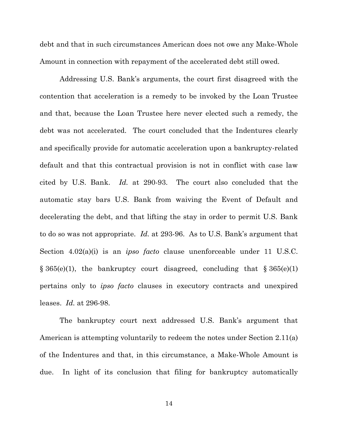debt and that in such circumstances American does not owe any Make-Whole Amount in connection with repayment of the accelerated debt still owed.

Addressing U.S. Bank's arguments, the court first disagreed with the contention that acceleration is a remedy to be invoked by the Loan Trustee and that, because the Loan Trustee here never elected such a remedy, the debt was not accelerated. The court concluded that the Indentures clearly and specifically provide for automatic acceleration upon a bankruptcy-related default and that this contractual provision is not in conflict with case law cited by U.S. Bank. *Id.* at 290-93. The court also concluded that the automatic stay bars U.S. Bank from waiving the Event of Default and decelerating the debt, and that lifting the stay in order to permit U.S. Bank to do so was not appropriate. *Id.* at 293-96. As to U.S. Bank's argument that Section 4.02(a)(i) is an *ipso facto* clause unenforceable under 11 U.S.C.  $\S 365(e)(1)$ , the bankruptcy court disagreed, concluding that  $\S 365(e)(1)$ pertains only to *ipso facto* clauses in executory contracts and unexpired leases. *Id.* at 296-98.

The bankruptcy court next addressed U.S. Bank's argument that American is attempting voluntarily to redeem the notes under Section 2.11(a) of the Indentures and that, in this circumstance, a Make-Whole Amount is due. In light of its conclusion that filing for bankruptcy automatically

14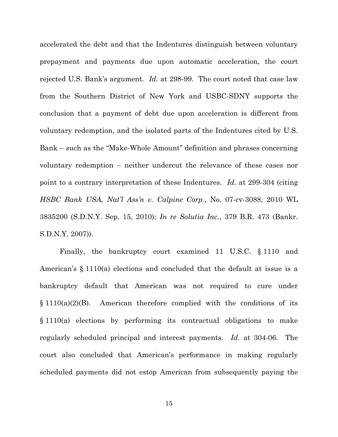accelerated the debt and that the Indentures distinguish between voluntary prepayment and payments due upon automatic acceleration, the court rejected U.S. Bank's argument. *Id.* at 298-99. The court noted that case law from the Southern District of New York and USBC-SDNY supports the conclusion that a payment of debt due upon acceleration is different from voluntary redemption, and the isolated parts of the Indentures cited by U.S. Bank – such as the "Make-Whole Amount" definition and phrases concerning voluntary redemption – neither undercut the relevance of these cases nor point to a contrary interpretation of these Indentures. *Id.* at 299-304 (citing *HSBC Bank USA, Nat'l Ass'n v. Calpine Corp.*, No. 07-cv-3088, 2010 WL 3835200 (S.D.N.Y. Sep. 15, 2010); *In re Solutia Inc.*, 379 B.R. 473 (Bankr. S.D.N.Y. 2007)).

Finally, the bankruptcy court examined 11 U.S.C. § 1110 and American's § 1110(a) elections and concluded that the default at issue is a bankruptcy default that American was not required to cure under  $§ 1110(a)(2)(B)$ . American therefore complied with the conditions of its § 1110(a) elections by performing its contractual obligations to make regularly scheduled principal and interest payments. *Id.* at 304-06. The court also concluded that American's performance in making regularly scheduled payments did not estop American from subsequently paying the

15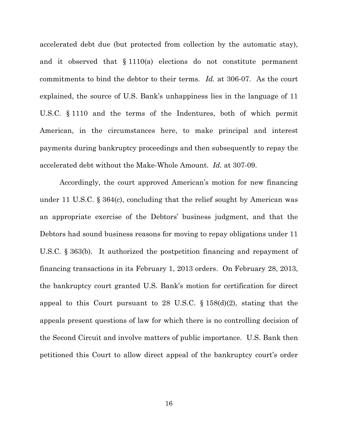accelerated debt due (but protected from collection by the automatic stay), and it observed that § 1110(a) elections do not constitute permanent commitments to bind the debtor to their terms. *Id.* at 306-07. As the court explained, the source of U.S. Bank's unhappiness lies in the language of 11 U.S.C. § 1110 and the terms of the Indentures, both of which permit American, in the circumstances here, to make principal and interest payments during bankruptcy proceedings and then subsequently to repay the accelerated debt without the Make-Whole Amount. *Id.* at 307-09.

Accordingly, the court approved American's motion for new financing under 11 U.S.C. § 364(c), concluding that the relief sought by American was an appropriate exercise of the Debtors' business judgment, and that the Debtors had sound business reasons for moving to repay obligations under 11 U.S.C. § 363(b). It authorized the postpetition financing and repayment of financing transactions in its February 1, 2013 orders. On February 28, 2013, the bankruptcy court granted U.S. Bank's motion for certification for direct appeal to this Court pursuant to 28 U.S.C. § 158(d)(2), stating that the appeals present questions of law for which there is no controlling decision of the Second Circuit and involve matters of public importance. U.S. Bank then petitioned this Court to allow direct appeal of the bankruptcy court's order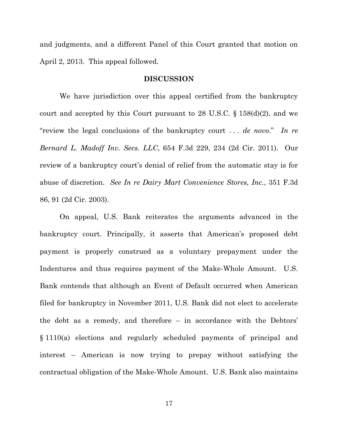and judgments, and a different Panel of this Court granted that motion on April 2, 2013. This appeal followed.

#### **DISCUSSION**

We have jurisdiction over this appeal certified from the bankruptcy court and accepted by this Court pursuant to 28 U.S.C.  $\S$  158(d)(2), and we "review the legal conclusions of the bankruptcy court . . . *de novo*." *In re Bernard L. Madoff Inv. Secs. LLC*, 654 F.3d 229, 234 (2d Cir. 2011).Our review of a bankruptcy court's denial of relief from the automatic stay is for abuse of discretion. *See In re Dairy Mart Convenience Stores, Inc.*, 351 F.3d 86, 91 (2d Cir. 2003).

On appeal, U.S. Bank reiterates the arguments advanced in the bankruptcy court. Principally, it asserts that American's proposed debt payment is properly construed as a voluntary prepayment under the Indentures and thus requires payment of the Make-Whole Amount. U.S. Bank contends that although an Event of Default occurred when American filed for bankruptcy in November 2011, U.S. Bank did not elect to accelerate the debt as a remedy, and therefore – in accordance with the Debtors' § 1110(a) elections and regularly scheduled payments of principal and interest – American is now trying to prepay without satisfying the contractual obligation of the Make-Whole Amount. U.S. Bank also maintains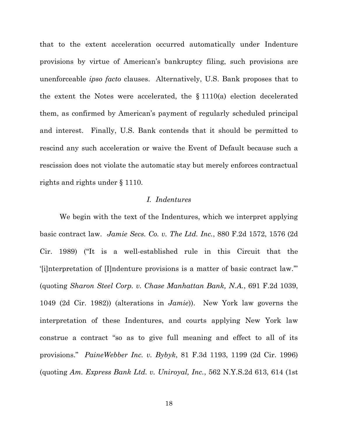that to the extent acceleration occurred automatically under Indenture provisions by virtue of American's bankruptcy filing, such provisions are unenforceable *ipso facto* clauses. Alternatively, U.S. Bank proposes that to the extent the Notes were accelerated, the § 1110(a) election decelerated them, as confirmed by American's payment of regularly scheduled principal and interest. Finally, U.S. Bank contends that it should be permitted to rescind any such acceleration or waive the Event of Default because such a rescission does not violate the automatic stay but merely enforces contractual rights and rights under § 1110.

# *I. Indentures*

We begin with the text of the Indentures, which we interpret applying basic contract law. *Jamie Secs. Co. v. The Ltd. Inc.*, 880 F.2d 1572, 1576 (2d Cir. 1989) ("It is a well-established rule in this Circuit that the '[i]nterpretation of [I]ndenture provisions is a matter of basic contract law.'" (quoting *Sharon Steel Corp. v. Chase Manhattan Bank, N.A.*, 691 F.2d 1039, 1049 (2d Cir. 1982)) (alterations in *Jamie*)).New York law governs the interpretation of these Indentures, and courts applying New York law construe a contract "so as to give full meaning and effect to all of its provisions." *PaineWebber Inc. v. Bybyk*, 81 F.3d 1193, 1199 (2d Cir. 1996) (quoting *Am. Express Bank Ltd. v. Uniroyal, Inc.*, 562 N.Y.S.2d 613, 614 (1st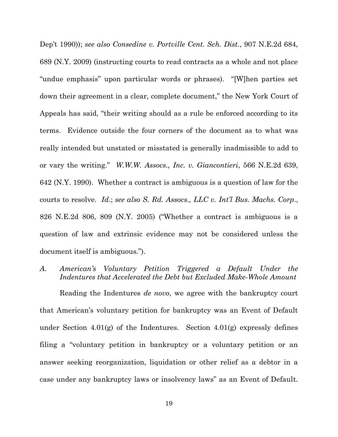Dep't 1990)); *see also Consedine v. Portville Cent. Sch. Dist.*, 907 N.E.2d 684, 689 (N.Y. 2009) (instructing courts to read contracts as a whole and not place "undue emphasis" upon particular words or phrases). "[W]hen parties set down their agreement in a clear, complete document," the New York Court of Appeals has said, "their writing should as a rule be enforced according to its terms. Evidence outside the four corners of the document as to what was really intended but unstated or misstated is generally inadmissible to add to or vary the writing." *W.W.W. Assocs., Inc. v. Giancontieri*, 566 N.E.2d 639, 642 (N.Y. 1990). Whether a contract is ambiguous is a question of law for the courts to resolve. *Id*.; *see also S. Rd. Assocs., LLC v. Int'l Bus. Machs. Corp*., 826 N.E.2d 806, 809 (N.Y. 2005) ("Whether a contract is ambiguous is a question of law and extrinsic evidence may not be considered unless the document itself is ambiguous.").

*A. American's Voluntary Petition Triggered a Default Under the Indentures that Accelerated the Debt but Excluded Make-Whole Amount*

Reading the Indentures *de novo*, we agree with the bankruptcy court that American's voluntary petition for bankruptcy was an Event of Default under Section 4.01(g) of the Indentures. Section 4.01(g) expressly defines filing a "voluntary petition in bankruptcy or a voluntary petition or an answer seeking reorganization, liquidation or other relief as a debtor in a case under any bankruptcy laws or insolvency laws" as an Event of Default.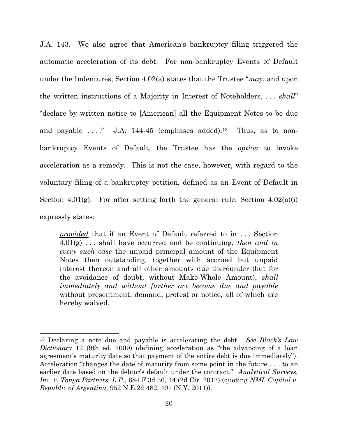J.A. 143. We also agree that American's bankruptcy filing triggered the automatic acceleration of its debt. For non-bankruptcy Events of Default under the Indentures, Section 4.02(a) states that the Trustee "*may*, and upon the written instructions of a Majority in Interest of Noteholders, . . . *shall*" "declare by written notice to [American] all the Equipment Notes to be due and payable  $\dots$ " J.A. 144-45 (emphases added).<sup>13</sup> Thus, as to nonbankruptcy Events of Default, the Trustee has the *option* to invoke acceleration as a remedy. This is not the case, however, with regard to the voluntary filing of a bankruptcy petition, defined as an Event of Default in Section 4.01(g). For after setting forth the general rule, Section  $4.02(a)(i)$ expressly states:

*provided* that if an Event of Default referred to in . . . Section 4.01(g) . . . shall have occurred and be continuing, *then and in every such case* the unpaid principal amount of the Equipment Notes then outstanding, together with accrued but unpaid interest thereon and all other amounts due thereunder (but for the avoidance of doubt, without Make-Whole Amount), *shall immediately and without further act become due and payable* without presentment, demand, protest or notice, all of which are hereby waived.

<sup>13</sup> Declaring a note due and payable is accelerating the debt. *See Black's Law Dictionary* 12 (9th ed. 2009) (defining acceleration as "the advancing of a loan agreement's maturity date so that payment of the entire debt is due immediately"). Acceleration "changes the date of maturity from some point in the future . . . to an earlier date based on the debtor's default under the contract." *Analytical Surveys, Inc. v. Tonga Partners, L.P.*, 684 F.3d 36, 44 (2d Cir. 2012) (quoting *NML Capital v. Republic of Argentina*, 952 N.E.2d 482, 491 (N.Y. 2011)).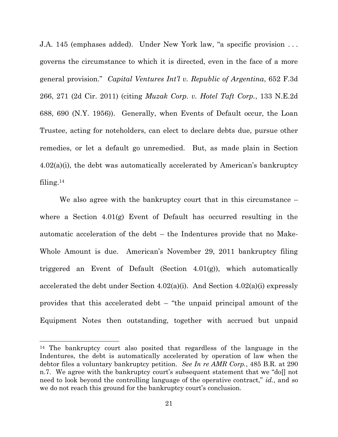J.A. 145 (emphases added). Under New York law, "a specific provision . . . governs the circumstance to which it is directed, even in the face of a more general provision." *Capital Ventures Int'l v. Republic of Argentina*, 652 F.3d 266, 271 (2d Cir. 2011) (citing *Muzak Corp. v. Hotel Taft Corp.*, 133 N.E.2d 688, 690 (N.Y. 1956)). Generally, when Events of Default occur, the Loan Trustee, acting for noteholders, can elect to declare debts due, pursue other remedies, or let a default go unremedied. But, as made plain in Section 4.02(a)(i), the debt was automatically accelerated by American's bankruptcy filing. $14$ 

We also agree with the bankruptcy court that in this circumstance – where a Section 4.01(g) Event of Default has occurred resulting in the automatic acceleration of the debt – the Indentures provide that no Make-Whole Amount is due. American's November 29, 2011 bankruptcy filing triggered an Event of Default (Section 4.01(g)), which automatically accelerated the debt under Section 4.02(a)(i). And Section 4.02(a)(i) expressly provides that this accelerated debt – "the unpaid principal amount of the Equipment Notes then outstanding, together with accrued but unpaid

<sup>14</sup> The bankruptcy court also posited that regardless of the language in the Indentures, the debt is automatically accelerated by operation of law when the debtor files a voluntary bankruptcy petition. *See In re AMR Corp.*, 485 B.R. at 290 n.7. We agree with the bankruptcy court's subsequent statement that we "doll not need to look beyond the controlling language of the operative contract," *id.*, and so we do not reach this ground for the bankruptcy court's conclusion.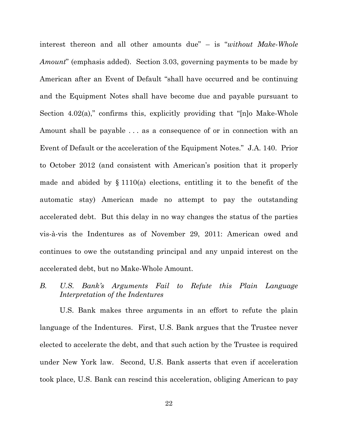interest thereon and all other amounts due" – is "*without Make-Whole Amount*" (emphasis added). Section 3.03, governing payments to be made by American after an Event of Default "shall have occurred and be continuing and the Equipment Notes shall have become due and payable pursuant to Section 4.02(a)," confirms this, explicitly providing that "[n]o Make-Whole Amount shall be payable . . . as a consequence of or in connection with an Event of Default or the acceleration of the Equipment Notes." J.A. 140. Prior to October 2012 (and consistent with American's position that it properly made and abided by  $\S 1110(a)$  elections, entitling it to the benefit of the automatic stay) American made no attempt to pay the outstanding accelerated debt. But this delay in no way changes the status of the parties vis-à-vis the Indentures as of November 29, 2011: American owed and continues to owe the outstanding principal and any unpaid interest on the accelerated debt, but no Make-Whole Amount.

# *B. U.S. Bank's Arguments Fail to Refute this Plain Language Interpretation of the Indentures*

U.S. Bank makes three arguments in an effort to refute the plain language of the Indentures. First, U.S. Bank argues that the Trustee never elected to accelerate the debt, and that such action by the Trustee is required under New York law. Second, U.S. Bank asserts that even if acceleration took place, U.S. Bank can rescind this acceleration, obliging American to pay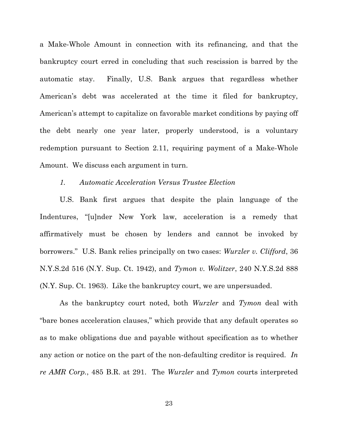a Make-Whole Amount in connection with its refinancing, and that the bankruptcy court erred in concluding that such rescission is barred by the automatic stay. Finally, U.S. Bank argues that regardless whether American's debt was accelerated at the time it filed for bankruptcy, American's attempt to capitalize on favorable market conditions by paying off the debt nearly one year later, properly understood, is a voluntary redemption pursuant to Section 2.11, requiring payment of a Make-Whole Amount. We discuss each argument in turn.

#### *1. Automatic Acceleration Versus Trustee Election*

U.S. Bank first argues that despite the plain language of the Indentures, "[u]nder New York law, acceleration is a remedy that affirmatively must be chosen by lenders and cannot be invoked by borrowers." U.S. Bank relies principally on two cases: *Wurzler v. Clifford*, 36 N.Y.S.2d 516 (N.Y. Sup. Ct. 1942), and *Tymon v. Wolitzer*, 240 N.Y.S.2d 888 (N.Y. Sup. Ct. 1963). Like the bankruptcy court, we are unpersuaded.

As the bankruptcy court noted, both *Wurzler* and *Tymon* deal with "bare bones acceleration clauses," which provide that any default operates so as to make obligations due and payable without specification as to whether any action or notice on the part of the non-defaulting creditor is required. *In re AMR Corp.*, 485 B.R. at 291. The *Wurzler* and *Tymon* courts interpreted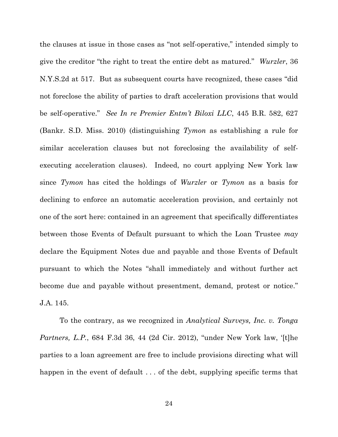the clauses at issue in those cases as "not self-operative," intended simply to give the creditor "the right to treat the entire debt as matured." *Wurzler*, 36 N.Y.S.2d at 517. But as subsequent courts have recognized, these cases "did not foreclose the ability of parties to draft acceleration provisions that would be self-operative." *See In re Premier Entm't Biloxi LLC*, 445 B.R. 582, 627 (Bankr. S.D. Miss. 2010) (distinguishing *Tymon* as establishing a rule for similar acceleration clauses but not foreclosing the availability of selfexecuting acceleration clauses). Indeed, no court applying New York law since *Tymon* has cited the holdings of *Wurzler* or *Tymon* as a basis for declining to enforce an automatic acceleration provision, and certainly not one of the sort here: contained in an agreement that specifically differentiates between those Events of Default pursuant to which the Loan Trustee *may* declare the Equipment Notes due and payable and those Events of Default pursuant to which the Notes "shall immediately and without further act become due and payable without presentment, demand, protest or notice." J.A. 145.

To the contrary, as we recognized in *Analytical Surveys, Inc. v. Tonga Partners, L.P.*, 684 F.3d 36, 44 (2d Cir. 2012), "under New York law, '[t]he parties to a loan agreement are free to include provisions directing what will happen in the event of default ... of the debt, supplying specific terms that

24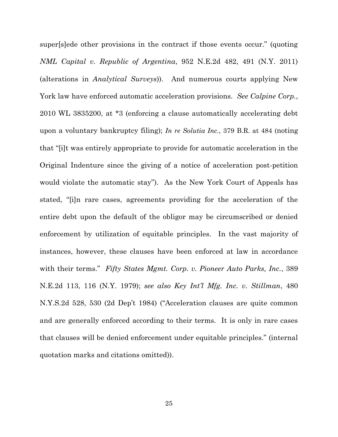super[s]ede other provisions in the contract if those events occur." (quoting *NML Capital v. Republic of Argentina*, 952 N.E.2d 482, 491 (N.Y. 2011) (alterations in *Analytical Surveys*)). And numerous courts applying New York law have enforced automatic acceleration provisions. *See Calpine Corp.*, 2010 WL 3835200, at \*3 (enforcing a clause automatically accelerating debt upon a voluntary bankruptcy filing); *In re Solutia Inc.*, 379 B.R. at 484 (noting that "[i]t was entirely appropriate to provide for automatic acceleration in the Original Indenture since the giving of a notice of acceleration post-petition would violate the automatic stay"). As the New York Court of Appeals has stated, "[i]n rare cases, agreements providing for the acceleration of the entire debt upon the default of the obligor may be circumscribed or denied enforcement by utilization of equitable principles. In the vast majority of instances, however, these clauses have been enforced at law in accordance with their terms." *Fifty States Mgmt. Corp. v. Pioneer Auto Parks, Inc.*, 389 N.E.2d 113, 116 (N.Y. 1979); *see also Key Int'l Mfg. Inc. v. Stillman*, 480 N.Y.S.2d 528, 530 (2d Dep't 1984) ("Acceleration clauses are quite common and are generally enforced according to their terms. It is only in rare cases that clauses will be denied enforcement under equitable principles." (internal quotation marks and citations omitted)).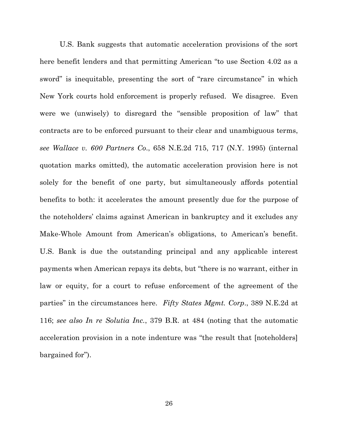U.S. Bank suggests that automatic acceleration provisions of the sort here benefit lenders and that permitting American "to use Section 4.02 as a sword" is inequitable, presenting the sort of "rare circumstance" in which New York courts hold enforcement is properly refused. We disagree. Even were we (unwisely) to disregard the "sensible proposition of law" that contracts are to be enforced pursuant to their clear and unambiguous terms, *see Wallace v. 600 Partners Co*., 658 N.E.2d 715, 717 (N.Y. 1995) (internal quotation marks omitted), the automatic acceleration provision here is not solely for the benefit of one party, but simultaneously affords potential benefits to both: it accelerates the amount presently due for the purpose of the noteholders' claims against American in bankruptcy and it excludes any Make-Whole Amount from American's obligations, to American's benefit. U.S. Bank is due the outstanding principal and any applicable interest payments when American repays its debts, but "there is no warrant, either in law or equity, for a court to refuse enforcement of the agreement of the parties" in the circumstances here. *Fifty States Mgmt. Corp*., 389 N.E.2d at 116; *see also In re Solutia Inc.*, 379 B.R. at 484 (noting that the automatic acceleration provision in a note indenture was "the result that [noteholders] bargained for").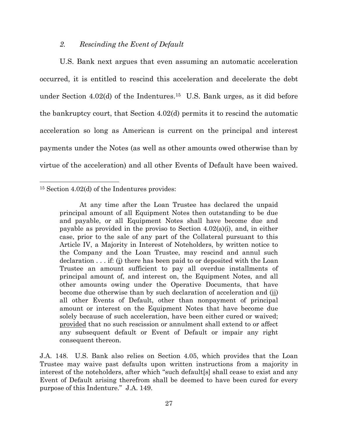#### *2. Rescinding the Event of Default*

U.S. Bank next argues that even assuming an automatic acceleration occurred, it is entitled to rescind this acceleration and decelerate the debt under Section  $4.02(d)$  of the Indentures.<sup>15</sup> U.S. Bank urges, as it did before the bankruptcy court, that Section 4.02(d) permits it to rescind the automatic acceleration so long as American is current on the principal and interest payments under the Notes (as well as other amounts owed otherwise than by virtue of the acceleration) and all other Events of Default have been waived.

 $\overline{\phantom{a}}$ 

J.A. 148. U.S. Bank also relies on Section 4.05, which provides that the Loan Trustee may waive past defaults upon written instructions from a majority in interest of the noteholders, after which "such default[s] shall cease to exist and any Event of Default arising therefrom shall be deemed to have been cured for every purpose of this Indenture." J.A. 149.

<sup>15</sup> Section 4.02(d) of the Indentures provides:

At any time after the Loan Trustee has declared the unpaid principal amount of all Equipment Notes then outstanding to be due and payable, or all Equipment Notes shall have become due and payable as provided in the proviso to Section  $4.02(a)(i)$ , and, in either case, prior to the sale of any part of the Collateral pursuant to this Article IV, a Majority in Interest of Noteholders, by written notice to the Company and the Loan Trustee, may rescind and annul such declaration . . . if: (i) there has been paid to or deposited with the Loan Trustee an amount sufficient to pay all overdue installments of principal amount of, and interest on, the Equipment Notes, and all other amounts owing under the Operative Documents, that have become due otherwise than by such declaration of acceleration and (ii) all other Events of Default, other than nonpayment of principal amount or interest on the Equipment Notes that have become due solely because of such acceleration, have been either cured or waived; provided that no such rescission or annulment shall extend to or affect any subsequent default or Event of Default or impair any right consequent thereon.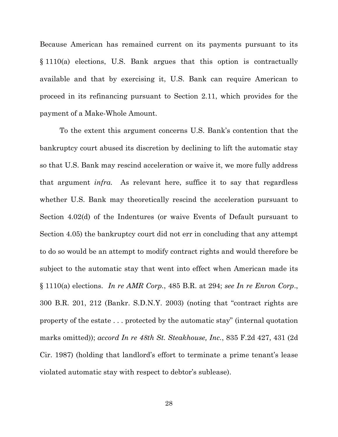Because American has remained current on its payments pursuant to its § 1110(a) elections, U.S. Bank argues that this option is contractually available and that by exercising it, U.S. Bank can require American to proceed in its refinancing pursuant to Section 2.11, which provides for the payment of a Make-Whole Amount.

To the extent this argument concerns U.S. Bank's contention that the bankruptcy court abused its discretion by declining to lift the automatic stay so that U.S. Bank may rescind acceleration or waive it, we more fully address that argument *infra.* As relevant here, suffice it to say that regardless whether U.S. Bank may theoretically rescind the acceleration pursuant to Section 4.02(d) of the Indentures (or waive Events of Default pursuant to Section 4.05) the bankruptcy court did not err in concluding that any attempt to do so would be an attempt to modify contract rights and would therefore be subject to the automatic stay that went into effect when American made its § 1110(a) elections. *In re AMR Corp.*, 485 B.R. at 294; *see In re Enron Corp*., 300 B.R. 201, 212 (Bankr. S.D.N.Y. 2003) (noting that "contract rights are property of the estate . . . protected by the automatic stay" (internal quotation marks omitted)); *accord In re 48th St. Steakhouse, Inc.*, 835 F.2d 427, 431 (2d Cir. 1987) (holding that landlord's effort to terminate a prime tenant's lease violated automatic stay with respect to debtor's sublease).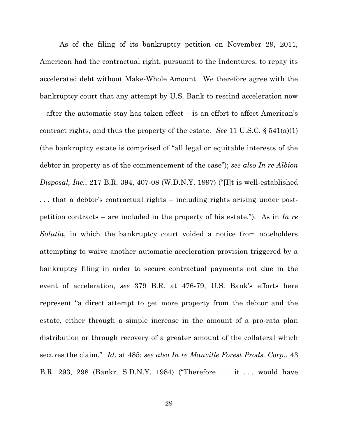As of the filing of its bankruptcy petition on November 29, 2011, American had the contractual right, pursuant to the Indentures, to repay its accelerated debt without Make-Whole Amount. We therefore agree with the bankruptcy court that any attempt by U.S. Bank to rescind acceleration now – after the automatic stay has taken effect – is an effort to affect American's contract rights, and thus the property of the estate. *See* 11 U.S.C. § 541(a)(1) (the bankruptcy estate is comprised of "all legal or equitable interests of the debtor in property as of the commencement of the case"); *see also In re Albion Disposal, Inc.*, 217 B.R. 394, 407-08 (W.D.N.Y. 1997) ("[I]t is well-established . . . that a debtor's contractual rights – including rights arising under postpetition contracts – are included in the property of his estate."). As in *In re Solutia*, in which the bankruptcy court voided a notice from noteholders attempting to waive another automatic acceleration provision triggered by a bankruptcy filing in order to secure contractual payments not due in the event of acceleration, *see* 379 B.R. at 476-79, U.S. Bank's efforts here represent "a direct attempt to get more property from the debtor and the estate, either through a simple increase in the amount of a pro-rata plan distribution or through recovery of a greater amount of the collateral which secures the claim." *Id*. at 485; *see also In re Manville Forest Prods. Corp.*, 43 B.R. 293, 298 (Bankr. S.D.N.Y. 1984) ("Therefore . . . it . . . would have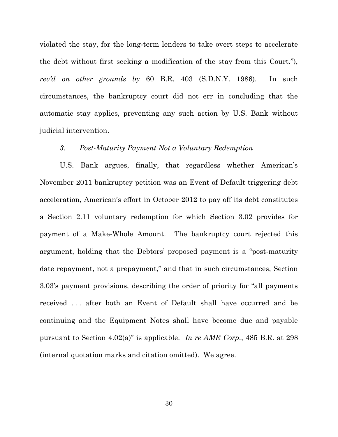violated the stay, for the long-term lenders to take overt steps to accelerate the debt without first seeking a modification of the stay from this Court."), *rev'd on other grounds by* 60 B.R. 403 (S.D.N.Y. 1986). In such circumstances, the bankruptcy court did not err in concluding that the automatic stay applies, preventing any such action by U.S. Bank without judicial intervention.

#### *3. Post-Maturity Payment Not a Voluntary Redemption*

U.S. Bank argues, finally, that regardless whether American's November 2011 bankruptcy petition was an Event of Default triggering debt acceleration, American's effort in October 2012 to pay off its debt constitutes a Section 2.11 voluntary redemption for which Section 3.02 provides for payment of a Make-Whole Amount. The bankruptcy court rejected this argument, holding that the Debtors' proposed payment is a "post-maturity date repayment, not a prepayment," and that in such circumstances, Section 3.03's payment provisions, describing the order of priority for "all payments received . . . after both an Event of Default shall have occurred and be continuing and the Equipment Notes shall have become due and payable pursuant to Section 4.02(a)" is applicable. *In re AMR Corp.*, 485 B.R. at 298 (internal quotation marks and citation omitted). We agree.

30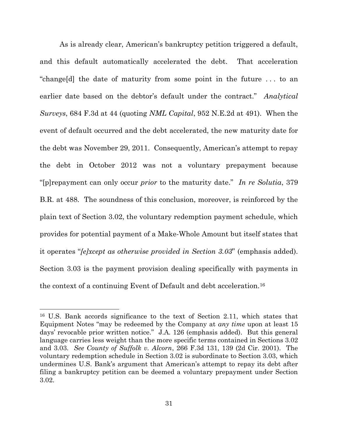As is already clear, American's bankruptcy petition triggered a default, and this default automatically accelerated the debt. That acceleration "change[d] the date of maturity from some point in the future . . . to an earlier date based on the debtor's default under the contract." *Analytical Surveys*, 684 F.3d at 44 (quoting *NML Capital*, 952 N.E.2d at 491). When the event of default occurred and the debt accelerated, the new maturity date for the debt was November 29, 2011. Consequently, American's attempt to repay the debt in October 2012 was not a voluntary prepayment because "[p]repayment can only occur *prior* to the maturity date." *In re Solutia*, 379 B.R. at 488. The soundness of this conclusion, moreover, is reinforced by the plain text of Section 3.02, the voluntary redemption payment schedule, which provides for potential payment of a Make-Whole Amount but itself states that it operates "*[e]xcept as otherwise provided in Section 3.03*" (emphasis added). Section 3.03 is the payment provision dealing specifically with payments in the context of a continuing Event of Default and debt acceleration.<sup>16</sup>

<sup>16</sup> U.S. Bank accords significance to the text of Section 2.11, which states that Equipment Notes "may be redeemed by the Company at *any time* upon at least 15 days' revocable prior written notice." J.A. 126 (emphasis added). But this general language carries less weight than the more specific terms contained in Sections 3.02 and 3.03. *See County of Suffolk v. Alcorn*, 266 F.3d 131, 139 (2d Cir. 2001). The voluntary redemption schedule in Section 3.02 is subordinate to Section 3.03, which undermines U.S. Bank's argument that American's attempt to repay its debt after filing a bankruptcy petition can be deemed a voluntary prepayment under Section 3.02.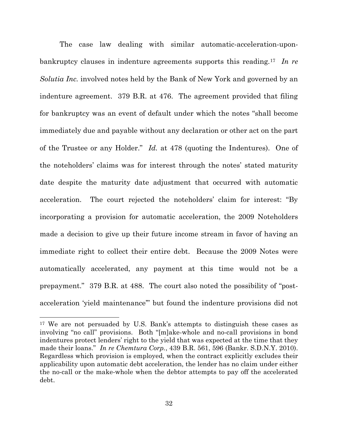The case law dealing with similar automatic-acceleration-uponbankruptcy clauses in indenture agreements supports this reading.<sup>17</sup> *In re Solutia Inc.* involved notes held by the Bank of New York and governed by an indenture agreement. 379 B.R. at 476. The agreement provided that filing for bankruptcy was an event of default under which the notes "shall become immediately due and payable without any declaration or other act on the part of the Trustee or any Holder." *Id.* at 478 (quoting the Indentures). One of the noteholders' claims was for interest through the notes' stated maturity date despite the maturity date adjustment that occurred with automatic acceleration. The court rejected the noteholders' claim for interest: "By incorporating a provision for automatic acceleration, the 2009 Noteholders made a decision to give up their future income stream in favor of having an immediate right to collect their entire debt. Because the 2009 Notes were automatically accelerated, any payment at this time would not be a prepayment." 379 B.R. at 488. The court also noted the possibility of "postacceleration 'yield maintenance'" but found the indenture provisions did not

<sup>17</sup> We are not persuaded by U.S. Bank's attempts to distinguish these cases as involving "no call" provisions. Both "[m]ake-whole and no-call provisions in bond indentures protect lenders' right to the yield that was expected at the time that they made their loans." *In re Chemtura Corp.*, 439 B.R. 561, 596 (Bankr. S.D.N.Y. 2010). Regardless which provision is employed, when the contract explicitly excludes their applicability upon automatic debt acceleration, the lender has no claim under either the no-call or the make-whole when the debtor attempts to pay off the accelerated debt.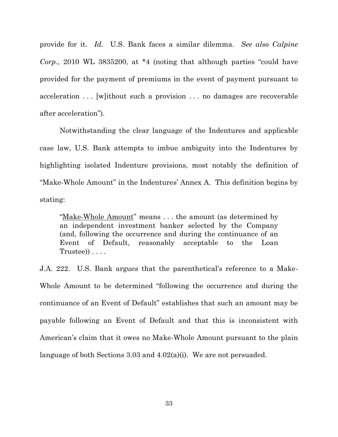provide for it. *Id.* U.S. Bank faces a similar dilemma. *See also Calpine Corp*., 2010 WL 3835200, at \*4 (noting that although parties "could have provided for the payment of premiums in the event of payment pursuant to acceleration . . . [w]ithout such a provision . . . no damages are recoverable after acceleration").

Notwithstanding the clear language of the Indentures and applicable case law, U.S. Bank attempts to imbue ambiguity into the Indentures by highlighting isolated Indenture provisions, most notably the definition of "Make-Whole Amount" in the Indentures' Annex A. This definition begins by stating:

"Make-Whole Amount" means . . . the amount (as determined by an independent investment banker selected by the Company (and, following the occurrence and during the continuance of an Event of Default, reasonably acceptable to the Loan Trustee)) . . . .

J.A. 222. U.S. Bank argues that the parenthetical's reference to a Make-Whole Amount to be determined "following the occurrence and during the continuance of an Event of Default" establishes that such an amount may be payable following an Event of Default and that this is inconsistent with American's claim that it owes no Make-Whole Amount pursuant to the plain language of both Sections 3.03 and 4.02(a)(i). We are not persuaded.

33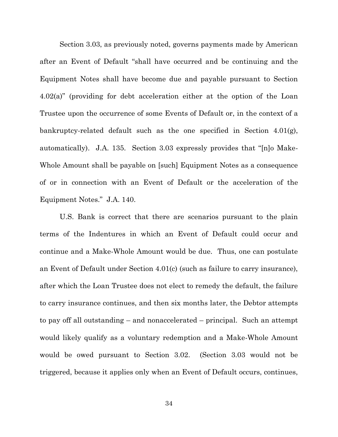Section 3.03, as previously noted, governs payments made by American after an Event of Default "shall have occurred and be continuing and the Equipment Notes shall have become due and payable pursuant to Section 4.02(a)" (providing for debt acceleration either at the option of the Loan Trustee upon the occurrence of some Events of Default or, in the context of a bankruptcy-related default such as the one specified in Section 4.01(g), automatically). J.A. 135. Section 3.03 expressly provides that "[n]o Make-Whole Amount shall be payable on [such] Equipment Notes as a consequence of or in connection with an Event of Default or the acceleration of the Equipment Notes." J.A. 140.

U.S. Bank is correct that there are scenarios pursuant to the plain terms of the Indentures in which an Event of Default could occur and continue and a Make-Whole Amount would be due. Thus, one can postulate an Event of Default under Section 4.01(c) (such as failure to carry insurance), after which the Loan Trustee does not elect to remedy the default, the failure to carry insurance continues, and then six months later, the Debtor attempts to pay off all outstanding – and nonaccelerated – principal. Such an attempt would likely qualify as a voluntary redemption and a Make-Whole Amount would be owed pursuant to Section 3.02. (Section 3.03 would not be triggered, because it applies only when an Event of Default occurs, continues,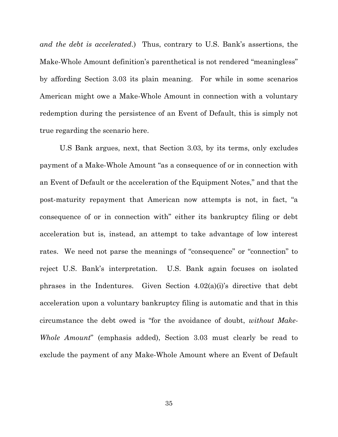*and the debt is accelerated*.) Thus, contrary to U.S. Bank's assertions, the Make-Whole Amount definition's parenthetical is not rendered "meaningless" by affording Section 3.03 its plain meaning. For while in some scenarios American might owe a Make-Whole Amount in connection with a voluntary redemption during the persistence of an Event of Default, this is simply not true regarding the scenario here.

U.S Bank argues, next, that Section 3.03, by its terms, only excludes payment of a Make-Whole Amount "as a consequence of or in connection with an Event of Default or the acceleration of the Equipment Notes," and that the post-maturity repayment that American now attempts is not, in fact, "a consequence of or in connection with" either its bankruptcy filing or debt acceleration but is, instead, an attempt to take advantage of low interest rates. We need not parse the meanings of "consequence" or "connection" to reject U.S. Bank's interpretation. U.S. Bank again focuses on isolated phrases in the Indentures. Given Section  $4.02(a)(i)$ 's directive that debt acceleration upon a voluntary bankruptcy filing is automatic and that in this circumstance the debt owed is "for the avoidance of doubt, *without Make-Whole Amount*" (emphasis added), Section 3.03 must clearly be read to exclude the payment of any Make-Whole Amount where an Event of Default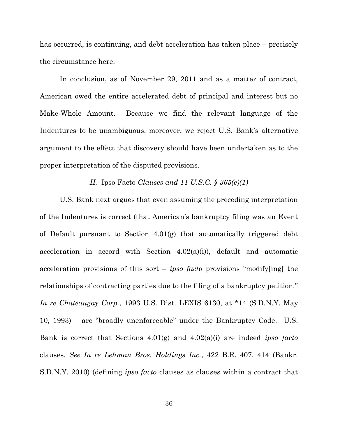has occurred, is continuing, and debt acceleration has taken place – precisely the circumstance here.

In conclusion, as of November 29, 2011 and as a matter of contract, American owed the entire accelerated debt of principal and interest but no Make-Whole Amount. Because we find the relevant language of the Indentures to be unambiguous, moreover, we reject U.S. Bank's alternative argument to the effect that discovery should have been undertaken as to the proper interpretation of the disputed provisions.

### *II.* Ipso Facto *Clauses and 11 U.S.C. § 365(e)(1)*

U.S. Bank next argues that even assuming the preceding interpretation of the Indentures is correct (that American's bankruptcy filing was an Event of Default pursuant to Section 4.01(g) that automatically triggered debt acceleration in accord with Section  $4.02(a)(i)$ , default and automatic acceleration provisions of this sort – *ipso facto* provisions "modify[ing] the relationships of contracting parties due to the filing of a bankruptcy petition," *In re Chateaugay Corp.*, 1993 U.S. Dist. LEXIS 6130, at \*14 (S.D.N.Y. May 10, 1993) – are "broadly unenforceable" under the Bankruptcy Code. U.S. Bank is correct that Sections 4.01(g) and 4.02(a)(i) are indeed *ipso facto*  clauses. *See In re Lehman Bros. Holdings Inc.*, 422 B.R. 407, 414 (Bankr. S.D.N.Y. 2010) (defining *ipso facto* clauses as clauses within a contract that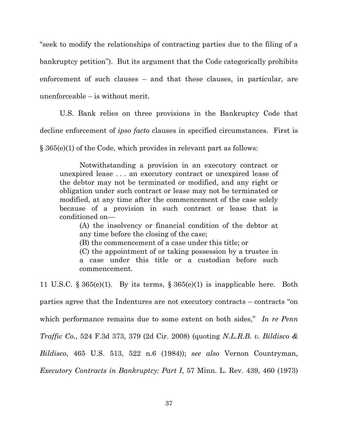"seek to modify the relationships of contracting parties due to the filing of a bankruptcy petition"). But its argument that the Code categorically prohibits enforcement of such clauses – and that these clauses, in particular, are unenforceable – is without merit.

U.S. Bank relies on three provisions in the Bankruptcy Code that decline enforcement of *ipso facto* clauses in specified circumstances. First is § 365(e)(1) of the Code, which provides in relevant part as follows:

Notwithstanding a provision in an executory contract or unexpired lease . . . an executory contract or unexpired lease of the debtor may not be terminated or modified, and any right or obligation under such contract or lease may not be terminated or modified, at any time after the commencement of the case solely because of a provision in such contract or lease that is conditioned on—

(A) the insolvency or financial condition of the debtor at any time before the closing of the case;

(B) the commencement of a case under this title; or

(C) the appointment of or taking possession by a trustee in a case under this title or a custodian before such commencement.

11 U.S.C. § 365(e)(1). By its terms, § 365(e)(1) is inapplicable here. Both parties agree that the Indentures are not executory contracts – contracts "on which performance remains due to some extent on both sides," In re Penn *Traffic Co.*, 524 F.3d 373, 379 (2d Cir. 2008) (quoting *N.L.R.B. v. Bildisco & Bildisco*, 465 U.S. 513, 522 n.6 (1984)); *see also* Vernon Countryman, *Executory Contracts in Bankruptcy: Part I*, 57 Minn. L. Rev. 439, 460 (1973)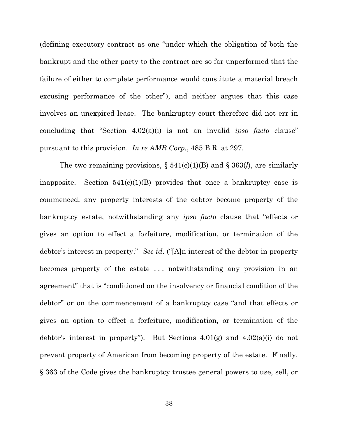(defining executory contract as one "under which the obligation of both the bankrupt and the other party to the contract are so far unperformed that the failure of either to complete performance would constitute a material breach excusing performance of the other"), and neither argues that this case involves an unexpired lease. The bankruptcy court therefore did not err in concluding that "Section 4.02(a)(i) is not an invalid *ipso facto* clause" pursuant to this provision. *In re AMR Corp.*, 485 B.R. at 297.

The two remaining provisions, § 541(c)(1)(B) and § 363(*l*), are similarly inapposite. Section  $541(c)(1)(B)$  provides that once a bankruptcy case is commenced, any property interests of the debtor become property of the bankruptcy estate, notwithstanding any *ipso facto* clause that "effects or gives an option to effect a forfeiture, modification, or termination of the debtor's interest in property." *See id*. ("[A]n interest of the debtor in property becomes property of the estate . . . notwithstanding any provision in an agreement" that is "conditioned on the insolvency or financial condition of the debtor" or on the commencement of a bankruptcy case "and that effects or gives an option to effect a forfeiture, modification, or termination of the debtor's interest in property"). But Sections  $4.01(g)$  and  $4.02(a)(i)$  do not prevent property of American from becoming property of the estate. Finally, § 363 of the Code gives the bankruptcy trustee general powers to use, sell, or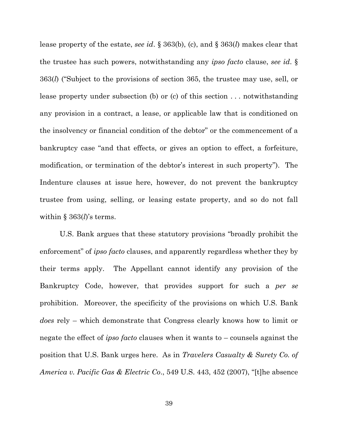lease property of the estate, *see id*. § 363(b), (c), and § 363(*l*) makes clear that the trustee has such powers, notwithstanding any *ipso facto* clause, *see id*. § 363(*l*) ("Subject to the provisions of section 365, the trustee may use, sell, or lease property under subsection (b) or (c) of this section . . . notwithstanding any provision in a contract, a lease, or applicable law that is conditioned on the insolvency or financial condition of the debtor" or the commencement of a bankruptcy case "and that effects, or gives an option to effect, a forfeiture, modification, or termination of the debtor's interest in such property"). The Indenture clauses at issue here, however, do not prevent the bankruptcy trustee from using, selling, or leasing estate property, and so do not fall within § 363(*l*)'s terms.

U.S. Bank argues that these statutory provisions "broadly prohibit the enforcement" of *ipso facto* clauses, and apparently regardless whether they by their terms apply. The Appellant cannot identify any provision of the Bankruptcy Code, however, that provides support for such a *per se* prohibition. Moreover, the specificity of the provisions on which U.S. Bank *does* rely – which demonstrate that Congress clearly knows how to limit or negate the effect of *ipso facto* clauses when it wants to – counsels against the position that U.S. Bank urges here. As in *Travelers Casualty & Surety Co. of America v. Pacific Gas & Electric Co*., 549 U.S. 443, 452 (2007), "[t]he absence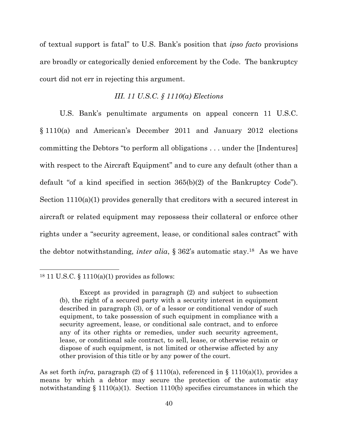of textual support is fatal" to U.S. Bank's position that *ipso facto* provisions are broadly or categorically denied enforcement by the Code. The bankruptcy court did not err in rejecting this argument.

# *III. 11 U.S.C. § 1110(a) Elections*

U.S. Bank's penultimate arguments on appeal concern 11 U.S.C. § 1110(a) and American's December 2011 and January 2012 elections committing the Debtors "to perform all obligations . . . under the [Indentures] with respect to the Aircraft Equipment" and to cure any default (other than a default "of a kind specified in section 365(b)(2) of the Bankruptcy Code"). Section 1110(a)(1) provides generally that creditors with a secured interest in aircraft or related equipment may repossess their collateral or enforce other rights under a "security agreement, lease, or conditional sales contract" with the debtor notwithstanding, *inter alia*, § 362's automatic stay.18 As we have

<sup>18</sup> 11 U.S.C. § 1110(a)(1) provides as follows:

Except as provided in paragraph (2) and subject to subsection (b), the right of a secured party with a security interest in equipment described in paragraph (3), or of a lessor or conditional vendor of such equipment, to take possession of such equipment in compliance with a security agreement, lease, or conditional sale contract, and to enforce any of its other rights or remedies, under such security agreement, lease, or conditional sale contract, to sell, lease, or otherwise retain or dispose of such equipment, is not limited or otherwise affected by any other provision of this title or by any power of the court.

As set forth *infra*, paragraph (2) of  $\S$  1110(a), referenced in  $\S$  1110(a)(1), provides a means by which a debtor may secure the protection of the automatic stay notwithstanding  $\S 1110(a)(1)$ . Section 1110(b) specifies circumstances in which the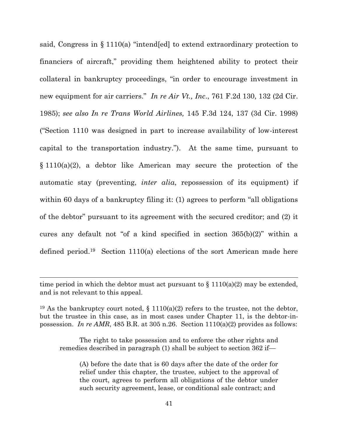said, Congress in § 1110(a) "intend[ed] to extend extraordinary protection to financiers of aircraft," providing them heightened ability to protect their collateral in bankruptcy proceedings, "in order to encourage investment in new equipment for air carriers." *In re Air Vt., Inc*., 761 F.2d 130, 132 (2d Cir. 1985); *see also In re Trans World Airlines,* 145 F.3d 124, 137 (3d Cir. 1998) ("Section 1110 was designed in part to increase availability of low-interest capital to the transportation industry."). At the same time, pursuant to  $§ 1110(a)(2)$ , a debtor like American may secure the protection of the automatic stay (preventing, *inter alia*, repossession of its equipment) if within 60 days of a bankruptcy filing it: (1) agrees to perform "all obligations" of the debtor" pursuant to its agreement with the secured creditor; and (2) it cures any default not "of a kind specified in section 365(b)(2)" within a defined period.19 Section 1110(a) elections of the sort American made here

l

The right to take possession and to enforce the other rights and remedies described in paragraph (1) shall be subject to section 362 if—

(A) before the date that is 60 days after the date of the order for relief under this chapter, the trustee, subject to the approval of the court, agrees to perform all obligations of the debtor under such security agreement, lease, or conditional sale contract; and

time period in which the debtor must act pursuant to  $\S 1110(a)(2)$  may be extended, and is not relevant to this appeal.

<sup>&</sup>lt;sup>19</sup> As the bankruptcy court noted,  $\S$  1110(a)(2) refers to the trustee, not the debtor, but the trustee in this case, as in most cases under Chapter 11, is the debtor-inpossession. *In re AMR*, 485 B.R. at 305 n.26. Section 1110(a)(2) provides as follows: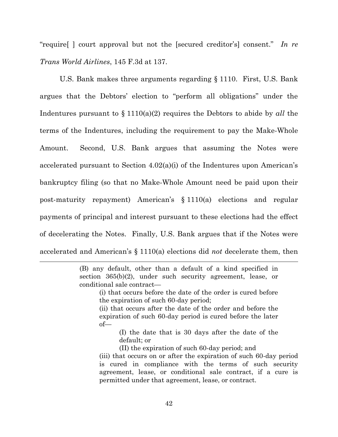"require[ ] court approval but not the [secured creditor's] consent." *In re Trans World Airlines*, 145 F.3d at 137.

U.S. Bank makes three arguments regarding § 1110. First, U.S. Bank argues that the Debtors' election to "perform all obligations" under the Indentures pursuant to § 1110(a)(2) requires the Debtors to abide by *all* the terms of the Indentures, including the requirement to pay the Make-Whole Amount. Second, U.S. Bank argues that assuming the Notes were accelerated pursuant to Section 4.02(a)(i) of the Indentures upon American's bankruptcy filing (so that no Make-Whole Amount need be paid upon their post-maturity repayment) American's § 1110(a) elections and regular payments of principal and interest pursuant to these elections had the effect of decelerating the Notes. Finally, U.S. Bank argues that if the Notes were accelerated and American's § 1110(a) elections did *not* decelerate them, then

> (B) any default, other than a default of a kind specified in section 365(b)(2), under such security agreement, lease, or conditional sale contract—

l

- (i) that occurs before the date of the order is cured before the expiration of such 60-day period;
- (ii) that occurs after the date of the order and before the expiration of such 60-day period is cured before the later of—
	- (I) the date that is 30 days after the date of the default; or
	- (II) the expiration of such 60-day period; and
- (iii) that occurs on or after the expiration of such 60-day period is cured in compliance with the terms of such security agreement, lease, or conditional sale contract, if a cure is permitted under that agreement, lease, or contract.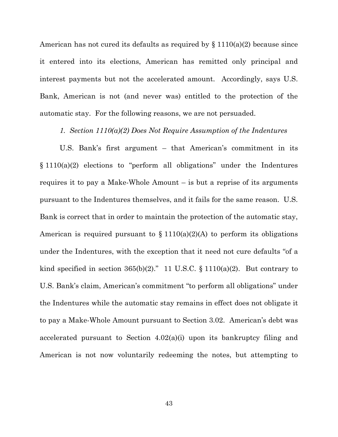American has not cured its defaults as required by  $\S 1110(a)(2)$  because since it entered into its elections, American has remitted only principal and interest payments but not the accelerated amount. Accordingly, says U.S. Bank, American is not (and never was) entitled to the protection of the automatic stay. For the following reasons, we are not persuaded.

#### *1. Section 1110(a)(2) Does Not Require Assumption of the Indentures*

U.S. Bank's first argument – that American's commitment in its § 1110(a)(2) elections to "perform all obligations" under the Indentures requires it to pay a Make-Whole Amount – is but a reprise of its arguments pursuant to the Indentures themselves, and it fails for the same reason. U.S. Bank is correct that in order to maintain the protection of the automatic stay, American is required pursuant to  $\S 1110(a)(2)(A)$  to perform its obligations under the Indentures, with the exception that it need not cure defaults "of a kind specified in section  $365(b)(2)$ ." 11 U.S.C. § 1110(a)(2). But contrary to U.S. Bank's claim, American's commitment "to perform all obligations" under the Indentures while the automatic stay remains in effect does not obligate it to pay a Make-Whole Amount pursuant to Section 3.02. American's debt was accelerated pursuant to Section 4.02(a)(i) upon its bankruptcy filing and American is not now voluntarily redeeming the notes, but attempting to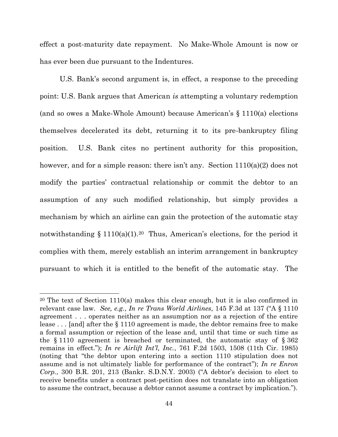effect a post-maturity date repayment. No Make-Whole Amount is now or has ever been due pursuant to the Indentures.

U.S. Bank's second argument is, in effect, a response to the preceding point: U.S. Bank argues that American *is* attempting a voluntary redemption (and so owes a Make-Whole Amount) because American's § 1110(a) elections themselves decelerated its debt, returning it to its pre-bankruptcy filing position. U.S. Bank cites no pertinent authority for this proposition, however, and for a simple reason: there isn't any. Section  $1110(a)(2)$  does not modify the parties' contractual relationship or commit the debtor to an assumption of any such modified relationship, but simply provides a mechanism by which an airline can gain the protection of the automatic stay notwithstanding § 1110(a)(1).<sup>20</sup> Thus, American's elections, for the period it complies with them, merely establish an interim arrangement in bankruptcy pursuant to which it is entitled to the benefit of the automatic stay. The

 $\overline{a}$ 

<sup>&</sup>lt;sup>20</sup> The text of Section 1110(a) makes this clear enough, but it is also confirmed in relevant case law. *See, e.g.*, *In re Trans World Airlines*, 145 F.3d at 137 ("A § 1110 agreement . . . operates neither as an assumption nor as a rejection of the entire lease . . . [and] after the § 1110 agreement is made, the debtor remains free to make a formal assumption or rejection of the lease and, until that time or such time as the  $\S 1110$  agreement is breached or terminated, the automatic stay of  $\S 362$ remains in effect."); *In re Airlift Int'l, Inc.*, 761 F.2d 1503, 1508 (11th Cir. 1985) (noting that "the debtor upon entering into a section 1110 stipulation does not assume and is not ultimately liable for performance of the contract"); *In re Enron Corp.*, 300 B.R. 201, 213 (Bankr. S.D.N.Y. 2003) ("A debtor's decision to elect to receive benefits under a contract post-petition does not translate into an obligation to assume the contract, because a debtor cannot assume a contract by implication.").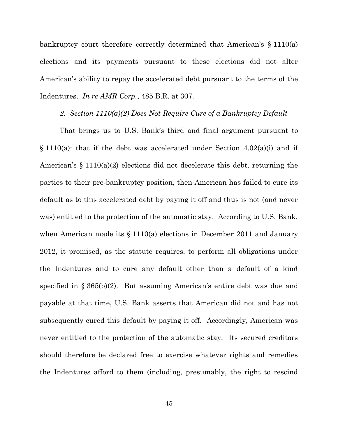bankruptcy court therefore correctly determined that American's § 1110(a) elections and its payments pursuant to these elections did not alter American's ability to repay the accelerated debt pursuant to the terms of the Indentures. *In re AMR Corp.*, 485 B.R. at 307.

# *2. Section 1110(a)(2) Does Not Require Cure of a Bankruptcy Default*

That brings us to U.S. Bank's third and final argument pursuant to  $\S$  1110(a): that if the debt was accelerated under Section 4.02(a)(i) and if American's § 1110(a)(2) elections did not decelerate this debt, returning the parties to their pre-bankruptcy position, then American has failed to cure its default as to this accelerated debt by paying it off and thus is not (and never was) entitled to the protection of the automatic stay. According to U.S. Bank, when American made its § 1110(a) elections in December 2011 and January 2012, it promised, as the statute requires, to perform all obligations under the Indentures and to cure any default other than a default of a kind specified in § 365(b)(2). But assuming American's entire debt was due and payable at that time, U.S. Bank asserts that American did not and has not subsequently cured this default by paying it off. Accordingly, American was never entitled to the protection of the automatic stay. Its secured creditors should therefore be declared free to exercise whatever rights and remedies the Indentures afford to them (including, presumably, the right to rescind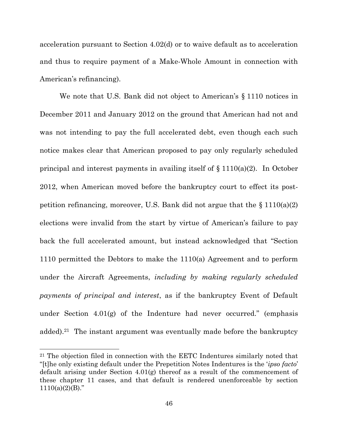acceleration pursuant to Section 4.02(d) or to waive default as to acceleration and thus to require payment of a Make-Whole Amount in connection with American's refinancing).

We note that U.S. Bank did not object to American's § 1110 notices in December 2011 and January 2012 on the ground that American had not and was not intending to pay the full accelerated debt, even though each such notice makes clear that American proposed to pay only regularly scheduled principal and interest payments in availing itself of  $\S 1110(a)(2)$ . In October 2012, when American moved before the bankruptcy court to effect its postpetition refinancing, moreover, U.S. Bank did not argue that the  $\S 1110(a)(2)$ elections were invalid from the start by virtue of American's failure to pay back the full accelerated amount, but instead acknowledged that "Section 1110 permitted the Debtors to make the 1110(a) Agreement and to perform under the Aircraft Agreements, *including by making regularly scheduled payments of principal and interest*, as if the bankruptcy Event of Default under Section  $4.01(g)$  of the Indenture had never occurred." (emphasis added).21 The instant argument was eventually made before the bankruptcy

<sup>21</sup> The objection filed in connection with the EETC Indentures similarly noted that "[t]he only existing default under the Prepetition Notes Indentures is the '*ipso facto*' default arising under Section  $4.01(g)$  thereof as a result of the commencement of these chapter 11 cases, and that default is rendered unenforceable by section  $1110(a)(2)(B)$ ."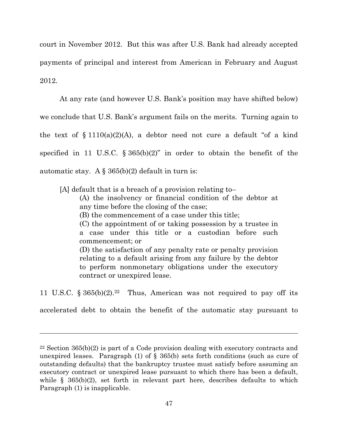court in November 2012. But this was after U.S. Bank had already accepted payments of principal and interest from American in February and August 2012.

At any rate (and however U.S. Bank's position may have shifted below) we conclude that U.S. Bank's argument fails on the merits. Turning again to the text of  $\S 1110(a)(2)(A)$ , a debtor need not cure a default "of a kind" specified in 11 U.S.C.  $\S 365(b)(2)$ " in order to obtain the benefit of the automatic stay. A  $\S$  365(b)(2) default in turn is:

[A] default that is a breach of a provision relating to–

(A) the insolvency or financial condition of the debtor at any time before the closing of the case;

(B) the commencement of a case under this title;

(C) the appointment of or taking possession by a trustee in a case under this title or a custodian before such commencement; or

(D) the satisfaction of any penalty rate or penalty provision relating to a default arising from any failure by the debtor to perform nonmonetary obligations under the executory contract or unexpired lease.

11 U.S.C.  $\S 365(b)(2).^{22}$  Thus, American was not required to pay off its

accelerated debt to obtain the benefit of the automatic stay pursuant to

<sup>22</sup> Section 365(b)(2) is part of a Code provision dealing with executory contracts and unexpired leases. Paragraph (1) of  $\S$  365(b) sets forth conditions (such as cure of outstanding defaults) that the bankruptcy trustee must satisfy before assuming an executory contract or unexpired lease pursuant to which there has been a default, while  $\S$  365(b)(2), set forth in relevant part here, describes defaults to which Paragraph (1) is inapplicable.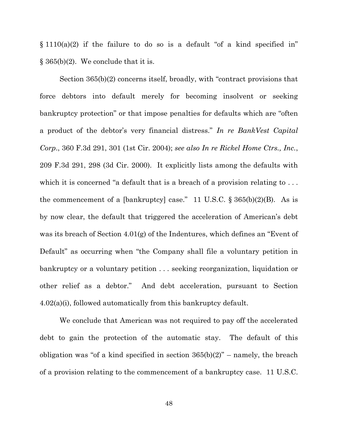$\S 1110(a)(2)$  if the failure to do so is a default "of a kind specified in"  $\S 365(b)(2)$ . We conclude that it is.

Section 365(b)(2) concerns itself, broadly, with "contract provisions that force debtors into default merely for becoming insolvent or seeking bankruptcy protection" or that impose penalties for defaults which are "often a product of the debtor's very financial distress." *In re BankVest Capital Corp*., 360 F.3d 291, 301 (1st Cir. 2004); *see also In re Rickel Home Ctrs., Inc.*, 209 F.3d 291, 298 (3d Cir. 2000). It explicitly lists among the defaults with which it is concerned "a default that is a breach of a provision relating to ... the commencement of a [bankruptcy] case." 11 U.S.C.  $\S 365(b)(2)(B)$ . As is by now clear, the default that triggered the acceleration of American's debt was its breach of Section 4.01(g) of the Indentures, which defines an "Event of Default" as occurring when "the Company shall file a voluntary petition in bankruptcy or a voluntary petition . . . seeking reorganization, liquidation or other relief as a debtor." And debt acceleration, pursuant to Section 4.02(a)(i), followed automatically from this bankruptcy default.

We conclude that American was not required to pay off the accelerated debt to gain the protection of the automatic stay. The default of this obligation was "of a kind specified in section  $365(b)(2)$ " – namely, the breach of a provision relating to the commencement of a bankruptcy case. 11 U.S.C.

48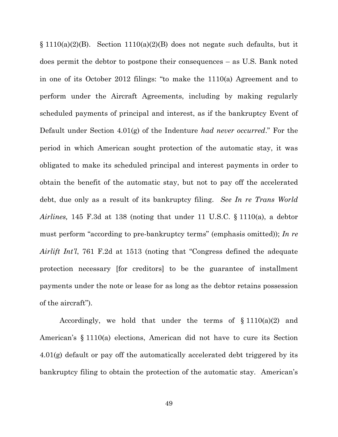$\S 1110(a)(2)(B)$ . Section  $1110(a)(2)(B)$  does not negate such defaults, but it does permit the debtor to postpone their consequences – as U.S. Bank noted in one of its October 2012 filings: "to make the 1110(a) Agreement and to perform under the Aircraft Agreements, including by making regularly scheduled payments of principal and interest, as if the bankruptcy Event of Default under Section 4.01(g) of the Indenture *had never occurred*." For the period in which American sought protection of the automatic stay, it was obligated to make its scheduled principal and interest payments in order to obtain the benefit of the automatic stay, but not to pay off the accelerated debt, due only as a result of its bankruptcy filing. *See In re Trans World Airlines,* 145 F.3d at 138 (noting that under 11 U.S.C. § 1110(a), a debtor must perform "according to pre-bankruptcy terms" (emphasis omitted)); *In re Airlift Int'l*, 761 F.2d at 1513 (noting that "Congress defined the adequate protection necessary [for creditors] to be the guarantee of installment payments under the note or lease for as long as the debtor retains possession of the aircraft").

Accordingly, we hold that under the terms of  $\S 1110(a)(2)$  and American's § 1110(a) elections, American did not have to cure its Section 4.01(g) default or pay off the automatically accelerated debt triggered by its bankruptcy filing to obtain the protection of the automatic stay. American's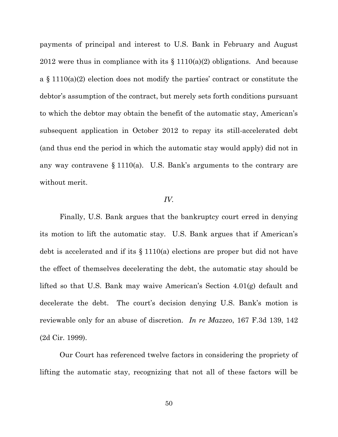payments of principal and interest to U.S. Bank in February and August 2012 were thus in compliance with its  $\S 1110(a)(2)$  obligations. And because a § 1110(a)(2) election does not modify the parties' contract or constitute the debtor's assumption of the contract, but merely sets forth conditions pursuant to which the debtor may obtain the benefit of the automatic stay, American's subsequent application in October 2012 to repay its still-accelerated debt (and thus end the period in which the automatic stay would apply) did not in any way contravene § 1110(a). U.S. Bank's arguments to the contrary are without merit.

#### *IV.*

Finally, U.S. Bank argues that the bankruptcy court erred in denying its motion to lift the automatic stay. U.S. Bank argues that if American's debt is accelerated and if its § 1110(a) elections are proper but did not have the effect of themselves decelerating the debt, the automatic stay should be lifted so that U.S. Bank may waive American's Section 4.01(g) default and decelerate the debt. The court's decision denying U.S. Bank's motion is reviewable only for an abuse of discretion. *In re Mazzeo*, 167 F.3d 139, 142 (2d Cir. 1999).

Our Court has referenced twelve factors in considering the propriety of lifting the automatic stay, recognizing that not all of these factors will be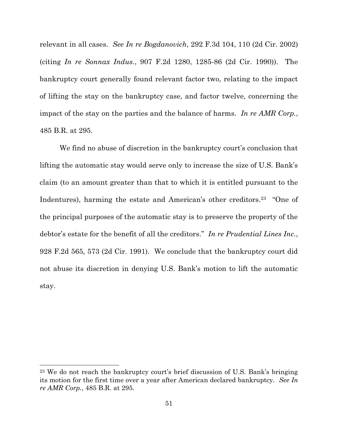relevant in all cases. *See In re Bogdanovich*, 292 F.3d 104, 110 (2d Cir. 2002) (citing *In re Sonnax Indus.*, 907 F.2d 1280, 1285-86 (2d Cir. 1990)). The bankruptcy court generally found relevant factor two, relating to the impact of lifting the stay on the bankruptcy case, and factor twelve, concerning the impact of the stay on the parties and the balance of harms. *In re AMR Corp.*, 485 B.R. at 295.

We find no abuse of discretion in the bankruptcy court's conclusion that lifting the automatic stay would serve only to increase the size of U.S. Bank's claim (to an amount greater than that to which it is entitled pursuant to the Indentures), harming the estate and American's other creditors.<sup>23</sup> "One of the principal purposes of the automatic stay is to preserve the property of the debtor's estate for the benefit of all the creditors." *In re Prudential Lines Inc.*, 928 F.2d 565, 573 (2d Cir. 1991). We conclude that the bankruptcy court did not abuse its discretion in denying U.S. Bank's motion to lift the automatic stay.

<sup>23</sup> We do not reach the bankruptcy court's brief discussion of U.S. Bank's bringing its motion for the first time over a year after American declared bankruptcy. *See In re AMR Corp.*, 485 B.R. at 295.